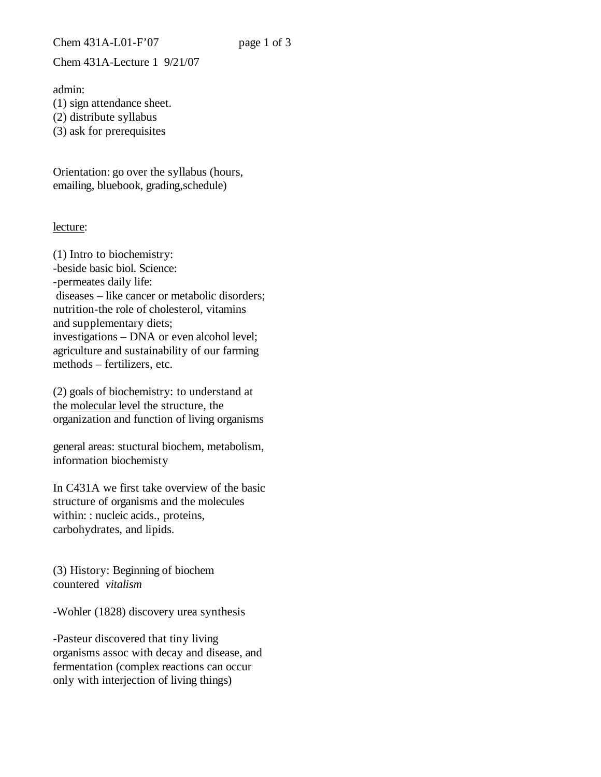Chem 431A-Lecture 1 9/21/07

admin: (1) sign attendance sheet. (2) distribute syllabus

(3) ask for prerequisites

Orientation: go over the syllabus (hours, emailing, bluebook, grading,schedule)

## lecture:

(1) Intro to biochemistry: -beside basic biol. Science: -permeates daily life: diseases – like cancer or metabolic disorders; nutrition-the role of cholesterol, vitamins and supplementary diets; investigations – DNA or even alcohol level; agriculture and sustainability of our farming methods – fertilizers, etc.

(2) goals of biochemistry: to understand at the molecular level the structure, the organization and function of living organisms

general areas: stuctural biochem, metabolism, information biochemisty

In C431A we first take overview of the basic structure of organisms and the molecules within: : nucleic acids., proteins, carbohydrates, and lipids.

(3) History: Beginning of biochem countered *vitalism*

-Wohler (1828) discovery urea synthesis

-Pasteur discovered that tiny living organisms assoc with decay and disease, and fermentation (complex reactions can occur only with interjection of living things)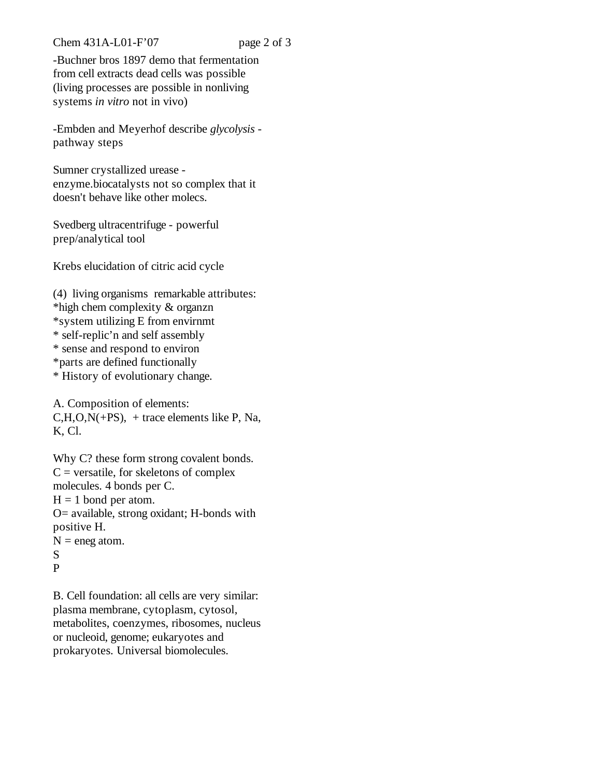Chem 431A-L01-F'07 page 2 of 3

-Buchner bros 1897 demo that fermentation from cell extracts dead cells was possible (living processes are possible in nonliving systems *in vitro* not in vivo)

-Embden and Meyerhof describe *glycolysis* pathway steps

Sumner crystallized urease enzyme.biocatalysts not so complex that it doesn't behave like other molecs.

Svedberg ultracentrifuge - powerful prep/analytical tool

Krebs elucidation of citric acid cycle

(4) living organisms remarkable attributes: \*high chem complexity & organzn \*system utilizing E from envirnmt \* self-replic'n and self assembly \* sense and respond to environ \*parts are defined functionally \* History of evolutionary change.

A. Composition of elements:  $C, H, O, N(+PS)$ , + trace elements like P, Na, K, Cl.

Why C? these form strong covalent bonds.  $C$  = versatile, for skeletons of complex molecules. 4 bonds per C.  $H = 1$  bond per atom. O= available, strong oxidant; H-bonds with positive H.  $N =$  eneg atom. S P

B. Cell foundation: all cells are very similar: plasma membrane, cytoplasm, cytosol, metabolites, coenzymes, ribosomes, nucleus or nucleoid, genome; eukaryotes and prokaryotes. Universal biomolecules.